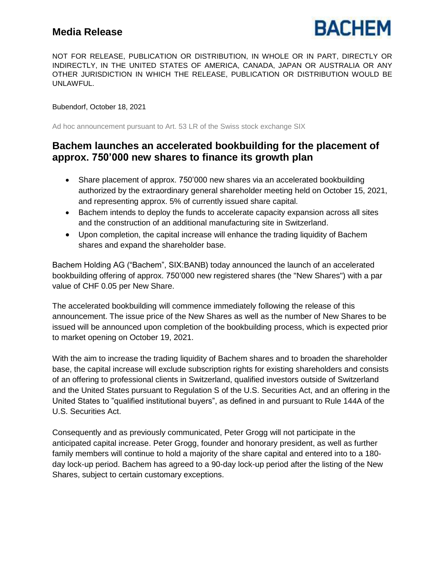

NOT FOR RELEASE, PUBLICATION OR DISTRIBUTION, IN WHOLE OR IN PART, DIRECTLY OR INDIRECTLY, IN THE UNITED STATES OF AMERICA, CANADA, JAPAN OR AUSTRALIA OR ANY OTHER JURISDICTION IN WHICH THE RELEASE, PUBLICATION OR DISTRIBUTION WOULD BE UNLAWFUL.

Bubendorf, October 18, 2021

Ad hoc announcement pursuant to Art. 53 LR of the Swiss stock exchange SIX

# **Bachem launches an accelerated bookbuilding for the placement of approx. 750'000 new shares to finance its growth plan**

- Share placement of approx. 750'000 new shares via an accelerated bookbuilding authorized by the extraordinary general shareholder meeting held on October 15, 2021, and representing approx. 5% of currently issued share capital.
- Bachem intends to deploy the funds to accelerate capacity expansion across all sites and the construction of an additional manufacturing site in Switzerland.
- Upon completion, the capital increase will enhance the trading liquidity of Bachem shares and expand the shareholder base.

Bachem Holding AG ("Bachem", SIX:BANB) today announced the launch of an accelerated bookbuilding offering of approx. 750'000 new registered shares (the "New Shares") with a par value of CHF 0.05 per New Share.

The accelerated bookbuilding will commence immediately following the release of this announcement. The issue price of the New Shares as well as the number of New Shares to be issued will be announced upon completion of the bookbuilding process, which is expected prior to market opening on October 19, 2021.

With the aim to increase the trading liquidity of Bachem shares and to broaden the shareholder base, the capital increase will exclude subscription rights for existing shareholders and consists of an offering to professional clients in Switzerland, qualified investors outside of Switzerland and the United States pursuant to Regulation S of the U.S. Securities Act, and an offering in the United States to "qualified institutional buyers", as defined in and pursuant to Rule 144A of the U.S. Securities Act.

Consequently and as previously communicated, Peter Grogg will not participate in the anticipated capital increase. Peter Grogg, founder and honorary president, as well as further family members will continue to hold a majority of the share capital and entered into to a 180 day lock-up period. Bachem has agreed to a 90-day lock-up period after the listing of the New Shares, subject to certain customary exceptions.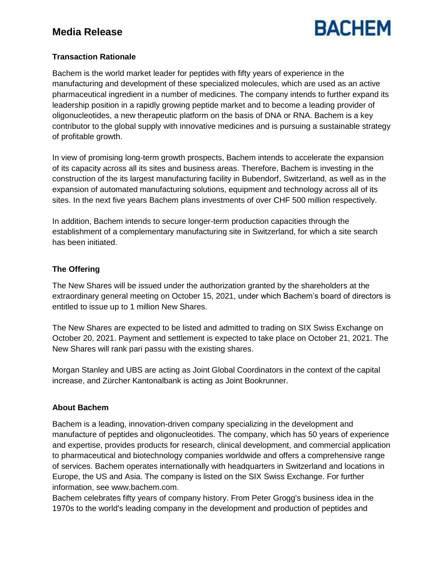

### **Transaction Rationale**

Bachem is the world market leader for peptides with fifty years of experience in the manufacturing and development of these specialized molecules, which are used as an active pharmaceutical ingredient in a number of medicines. The company intends to further expand its leadership position in a rapidly growing peptide market and to become a leading provider of oligonucleotides, a new therapeutic platform on the basis of DNA or RNA. Bachem is a key contributor to the global supply with innovative medicines and is pursuing a sustainable strategy of profitable growth.

In view of promising long-term growth prospects, Bachem intends to accelerate the expansion of its capacity across all its sites and business areas. Therefore, Bachem is investing in the construction of the its largest manufacturing facility in Bubendorf, Switzerland, as well as in the expansion of automated manufacturing solutions, equipment and technology across all of its sites. In the next five years Bachem plans investments of over CHF 500 million respectively.

In addition, Bachem intends to secure longer-term production capacities through the establishment of a complementary manufacturing site in Switzerland, for which a site search has been initiated.

## **The Offering**

The New Shares will be issued under the authorization granted by the shareholders at the extraordinary general meeting on October 15, 2021, under which Bachem's board of directors is entitled to issue up to 1 million New Shares.

The New Shares are expected to be listed and admitted to trading on SIX Swiss Exchange on October 20, 2021. Payment and settlement is expected to take place on October 21, 2021. The New Shares will rank pari passu with the existing shares.

Morgan Stanley and UBS are acting as Joint Global Coordinators in the context of the capital increase, and Zürcher Kantonalbank is acting as Joint Bookrunner.

### **About Bachem**

Bachem is a leading, innovation-driven company specializing in the development and manufacture of peptides and oligonucleotides. The company, which has 50 years of experience and expertise, provides products for research, clinical development, and commercial application to pharmaceutical and biotechnology companies worldwide and offers a comprehensive range of services. Bachem operates internationally with headquarters in Switzerland and locations in Europe, the US and Asia. The company is listed on the SIX Swiss Exchange. For further information, see www.bachem.com.

Bachem celebrates fifty years of company history. From Peter Grogg's business idea in the 1970s to the world's leading company in the development and production of peptides and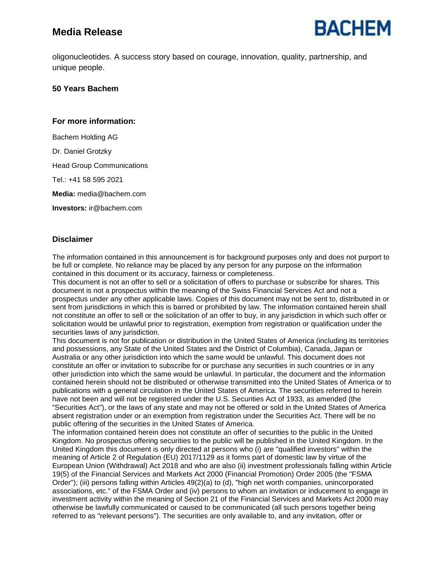

oligonucleotides. A success story based on courage, innovation, quality, partnership, and unique people.

### **50 Years Bachem**

### **For more information:**

Bachem Holding AG Dr. Daniel Grotzky Head Group Communications Tel.: +41 58 595 2021 **Media:** media@bachem.com

**Investors:** ir@bachem.com

### **Disclaimer**

The information contained in this announcement is for background purposes only and does not purport to be full or complete. No reliance may be placed by any person for any purpose on the information contained in this document or its accuracy, fairness or completeness.

This document is not an offer to sell or a solicitation of offers to purchase or subscribe for shares. This document is not a prospectus within the meaning of the Swiss Financial Services Act and not a prospectus under any other applicable laws. Copies of this document may not be sent to, distributed in or sent from jurisdictions in which this is barred or prohibited by law. The information contained herein shall not constitute an offer to sell or the solicitation of an offer to buy, in any jurisdiction in which such offer or solicitation would be unlawful prior to registration, exemption from registration or qualification under the securities laws of any jurisdiction.

This document is not for publication or distribution in the United States of America (including its territories and possessions, any State of the United States and the District of Columbia), Canada, Japan or Australia or any other jurisdiction into which the same would be unlawful. This document does not constitute an offer or invitation to subscribe for or purchase any securities in such countries or in any other jurisdiction into which the same would be unlawful. In particular, the document and the information contained herein should not be distributed or otherwise transmitted into the United States of America or to publications with a general circulation in the United States of America. The securities referred to herein have not been and will not be registered under the U.S. Securities Act of 1933, as amended (the "Securities Act"), or the laws of any state and may not be offered or sold in the United States of America absent registration under or an exemption from registration under the Securities Act. There will be no public offering of the securities in the United States of America.

The information contained herein does not constitute an offer of securities to the public in the United Kingdom. No prospectus offering securities to the public will be published in the United Kingdom. In the United Kingdom this document is only directed at persons who (i) are "qualified investors" within the meaning of Article 2 of Regulation (EU) 2017/1129 as it forms part of domestic law by virtue of the European Union (Withdrawal) Act 2018 and who are also (ii) investment professionals falling within Article 19(5) of the Financial Services and Markets Act 2000 (Financial Promotion) Order 2005 (the "FSMA Order"); (iii) persons falling within Articles 49(2)(a) to (d), "high net worth companies, unincorporated associations, etc." of the FSMA Order and (iv) persons to whom an invitation or inducement to engage in investment activity within the meaning of Section 21 of the Financial Services and Markets Act 2000 may otherwise be lawfully communicated or caused to be communicated (all such persons together being referred to as "relevant persons"). The securities are only available to, and any invitation, offer or